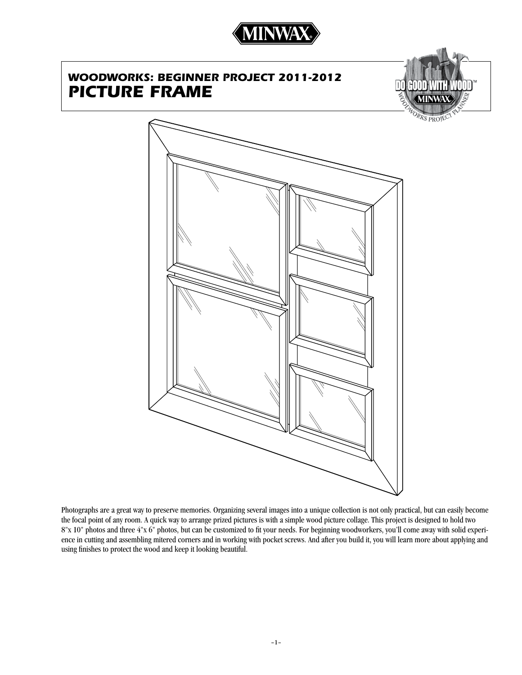

# *WOODWORKS: beginner project 2011-2012 Picture Frame*



Photographs are a great way to preserve memories. Organizing several images into a unique collection is not only practical, but can easily become the focal point of any room. A quick way to arrange prized pictures is with a simple wood picture collage. This project is designed to hold two 8"x 10" photos and three 4"x 6" photos, but can be customized to fit your needs. For beginning woodworkers, you'll come away with solid experience in cutting and assembling mitered corners and in working with pocket screws. And after you build it, you will learn more about applying and using finishes to protect the wood and keep it looking beautiful.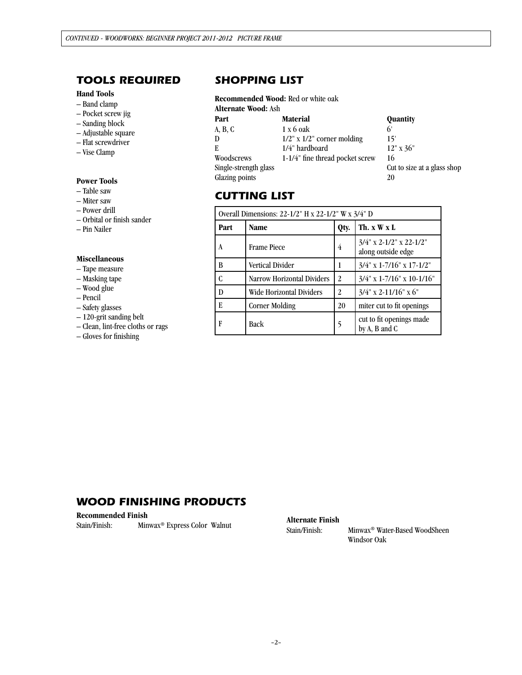# *tools required*

### **Hand Tools**

- Band clamp
- Pocket screw jig
- Sanding block
- Adjustable square
- Flat screwdriver
- Vise Clamp

### **Power Tools**

- Table saw
- Miter saw
- Power drill
- Orbital or finish sander
- Pin Nailer

#### **Miscellaneous**

- Tape measure
- Masking tape
- Wood glue
- Pencil
- Safety glasses
- 120-grit sanding belt
- Clean, lint-free cloths or rags
- Gloves for finishing

## *SHOPPING LIST*

# **Recommended Wood:** Red or white oak

| <b>Alternate Wood: Ash</b> |                                  |                             |  |  |
|----------------------------|----------------------------------|-----------------------------|--|--|
| Part                       | <b>Material</b>                  | <b>Quantity</b>             |  |  |
| A, B, C                    | $1 \times 6$ oak                 | 6'                          |  |  |
| D                          | $1/2$ " x $1/2$ " corner molding | 15'                         |  |  |
| E                          | 1/4" hardboard                   | $12"$ x 36"                 |  |  |
| Woodscrews                 | 1-1/4" fine thread pocket screw  | 16                          |  |  |
| Single-strength glass      |                                  | Cut to size at a glass shop |  |  |
| Glazing points             |                                  | 20                          |  |  |

## *cutting list*

| Overall Dimensions: 22-1/2" H x 22-1/2" W x 3/4" D |                                 |      |                                                  |  |  |
|----------------------------------------------------|---------------------------------|------|--------------------------------------------------|--|--|
| Part                                               | <b>Name</b>                     | Qty. | Th. x W x L                                      |  |  |
| A                                                  | <b>Frame Piece</b>              | 4    | $3/4$ " x 2-1/2" x 22-1/2"<br>along outside edge |  |  |
| B                                                  | <b>Vertical Divider</b>         | 1    | $3/4$ " x 1-7/16" x 17-1/2"                      |  |  |
| C                                                  | Narrow Horizontal Dividers      | 2    | $3/4$ " x 1-7/16" x 10-1/16"                     |  |  |
| D                                                  | <b>Wide Horizontal Dividers</b> | 2    | $3/4$ " x 2-11/16" x 6"                          |  |  |
| E                                                  | <b>Corner Molding</b>           | 20   | miter cut to fit openings                        |  |  |
| F                                                  | <b>Back</b>                     | 5    | cut to fit openings made<br>by A, B and C        |  |  |

## *WOOD FINISHING PRODUCTS*

| <b>Recommended Finish</b> |  |                                          |  |  |  |  |
|---------------------------|--|------------------------------------------|--|--|--|--|
| Stain/Finish:             |  | Minwax <sup>®</sup> Express Color Walnut |  |  |  |  |

Alternate Finish<br>Stain/Finish:

Minwax<sup>®</sup> Water-Based WoodSheen Windsor Oak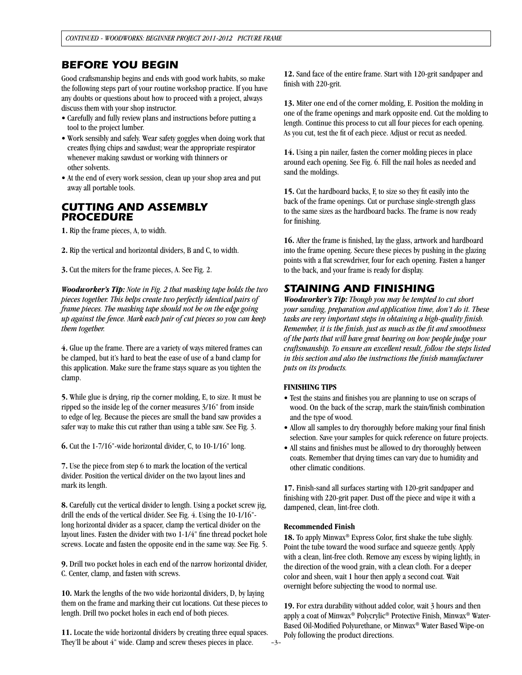## *Before you begin*

Good craftsmanship begins and ends with good work habits, so make the following steps part of your routine workshop practice. If you have any doubts or questions about how to proceed with a project, always discuss them with your shop instructor.

- Carefully and fully review plans and instructions before putting a tool to the project lumber.
- Work sensibly and safely. Wear safety goggles when doing work that creates flying chips and sawdust; wear the appropriate respirator whenever making sawdust or working with thinners or other solvents.
- At the end of every work session, clean up your shop area and put away all portable tools.

## *CUTTING AND ASSEMBLY PROCEDURE*

**1.** Rip the frame pieces, A, to width.

**2.** Rip the vertical and horizontal dividers, B and C, to width.

**3.** Cut the miters for the frame pieces, A. See Fig. 2.

*Woodworker's Tip: Note in Fig. 2 that masking tape holds the two pieces together. This helps create two perfectly identical pairs of frame pieces. The masking tape should not be on the edge going up against the fence. Mark each pair of cut pieces so you can keep them together.*

**4.** Glue up the frame. There are a variety of ways mitered frames can be clamped, but it's hard to beat the ease of use of a band clamp for this application. Make sure the frame stays square as you tighten the clamp.

**5.** While glue is drying, rip the corner molding, E, to size. It must be ripped so the inside leg of the corner measures 3/16" from inside to edge of leg. Because the pieces are small the band saw provides a safer way to make this cut rather than using a table saw. See Fig. 3.

**6.** Cut the 1-7/16"-wide horizontal divider, C, to 10-1/16" long.

**7.** Use the piece from step 6 to mark the location of the vertical divider. Position the vertical divider on the two layout lines and mark its length.

**8.** Carefully cut the vertical divider to length. Using a pocket screw jig, drill the ends of the vertical divider. See Fig. 4. Using the 10-1/16" long horizontal divider as a spacer, clamp the vertical divider on the layout lines. Fasten the divider with two 1-1/4" fine thread pocket hole screws. Locate and fasten the opposite end in the same way. See Fig. 5.

**9.** Drill two pocket holes in each end of the narrow horizontal divider, C. Center, clamp, and fasten with screws.

**10.** Mark the lengths of the two wide horizontal dividers, D, by laying them on the frame and marking their cut locations. Cut these pieces to length. Drill two pocket holes in each end of both pieces.

**11.** Locate the wide horizontal dividers by creating three equal spaces. They'll be about 4" wide. Clamp and screw theses pieces in place.

**12.** Sand face of the entire frame. Start with 120-grit sandpaper and finish with 220-grit.

**13.** Miter one end of the corner molding, E. Position the molding in one of the frame openings and mark opposite end. Cut the molding to length. Continue this process to cut all four pieces for each opening. As you cut, test the fit of each piece. Adjust or recut as needed.

**14.** Using a pin nailer, fasten the corner molding pieces in place around each opening. See Fig. 6. Fill the nail holes as needed and sand the moldings.

**15.** Cut the hardboard backs, F, to size so they fit easily into the back of the frame openings. Cut or purchase single-strength glass to the same sizes as the hardboard backs. The frame is now ready for finishing.

**16.** After the frame is finished, lay the glass, artwork and hardboard into the frame opening. Secure these pieces by pushing in the glazing points with a flat screwdriver, four for each opening. Fasten a hanger to the back, and your frame is ready for display.

## *Staining and finishing*

*Woodworker's Tip: Though you may be tempted to cut short your sanding, preparation and application time, don't do it. These tasks are very important steps in obtaining a high-quality finish. Remember, it is the finish, just as much as the fit and smoothness of the parts that will have great bearing on how people judge your craftsmanship. To ensure an excellent result, follow the steps listed in this section and also the instructions the finish manufacturer puts on its products.*

### **FINISHING TIPS**

- Test the stains and finishes you are planning to use on scraps of wood. On the back of the scrap, mark the stain/finish combination and the type of wood.
- Allow all samples to dry thoroughly before making your final finish selection. Save your samples for quick reference on future projects.
- All stains and finishes must be allowed to dry thoroughly between coats. Remember that drying times can vary due to humidity and other climatic conditions.

**17.** Finish-sand all surfaces starting with 120-grit sandpaper and finishing with 220-grit paper. Dust off the piece and wipe it with a dampened, clean, lint-free cloth.

#### **Recommended Finish**

**18.** To apply Minwax® Express Color, first shake the tube slighly. Point the tube toward the wood surface and squeeze gently. Apply with a clean, lint-free cloth. Remove any excess by wiping lightly, in the direction of the wood grain, with a clean cloth. For a deeper color and sheen, wait 1 hour then apply a second coat. Wait overnight before subjecting the wood to normal use.

**19.** For extra durability without added color, wait 3 hours and then apply a coat of Minwax® Polycrylic® Protective Finish, Minwax® Water-Based Oil-Modified Polyurethane, or Minwax® Water Based Wipe-on Poly following the product directions.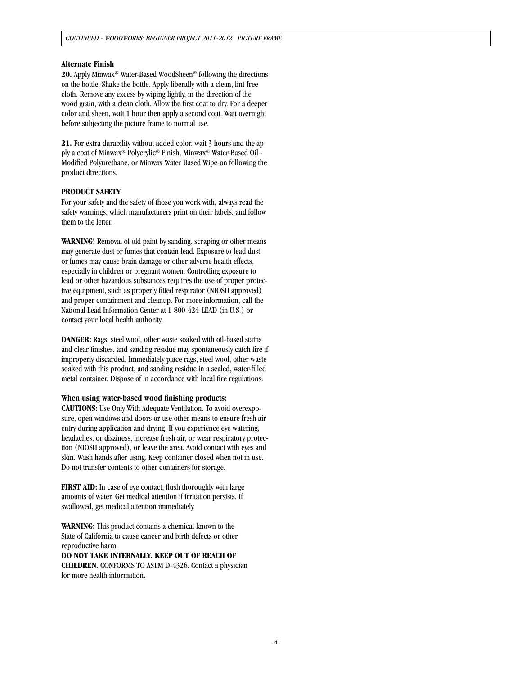#### **Alternate Finish**

**20.** Apply Minwax® Water-Based WoodSheen® following the directions on the bottle. Shake the bottle. Apply liberally with a clean, lint-free cloth. Remove any excess by wiping lightly, in the direction of the wood grain, with a clean cloth. Allow the first coat to dry. For a deeper color and sheen, wait 1 hour then apply a second coat. Wait overnight before subjecting the picture frame to normal use.

**21.** For extra durability without added color. wait 3 hours and the apply a coat of Minwax® Polycrylic® Finish, Minwax® Water-Based Oil - Modified Polyurethane, or Minwax Water Based Wipe-on following the product directions.

#### **PRODUCT SAFETY**

For your safety and the safety of those you work with, always read the safety warnings, which manufacturers print on their labels, and follow them to the letter.

**WARNING!** Removal of old paint by sanding, scraping or other means may generate dust or fumes that contain lead. Exposure to lead dust or fumes may cause brain damage or other adverse health effects, especially in children or pregnant women. Controlling exposure to lead or other hazardous substances requires the use of proper protective equipment, such as properly fitted respirator (NIOSH approved) and proper containment and cleanup. For more information, call the National Lead Information Center at 1-800-424-LEAD (in U.S.) or contact your local health authority.

**DANGER:** Rags, steel wool, other waste soaked with oil-based stains and clear finishes, and sanding residue may spontaneously catch fire if improperly discarded. Immediately place rags, steel wool, other waste soaked with this product, and sanding residue in a sealed, water-filled metal container. Dispose of in accordance with local fire regulations.

#### **When using water-based wood finishing products:**

**CAUTIONS:** Use Only With Adequate Ventilation. To avoid overexposure, open windows and doors or use other means to ensure fresh air entry during application and drying. If you experience eye watering, headaches, or dizziness, increase fresh air, or wear respiratory protection (NIOSH approved), or leave the area. Avoid contact with eyes and skin. Wash hands after using. Keep container closed when not in use. Do not transfer contents to other containers for storage.

**FIRST AID:** In case of eye contact, flush thoroughly with large amounts of water. Get medical attention if irritation persists. If swallowed, get medical attention immediately.

**WARNING:** This product contains a chemical known to the State of California to cause cancer and birth defects or other reproductive harm.

**DO NOT TAKE INTERNALLY. KEEP OUT OF REACH OF CHILDREN.** CONFORMS TO ASTM D-4326. Contact a physician for more health information.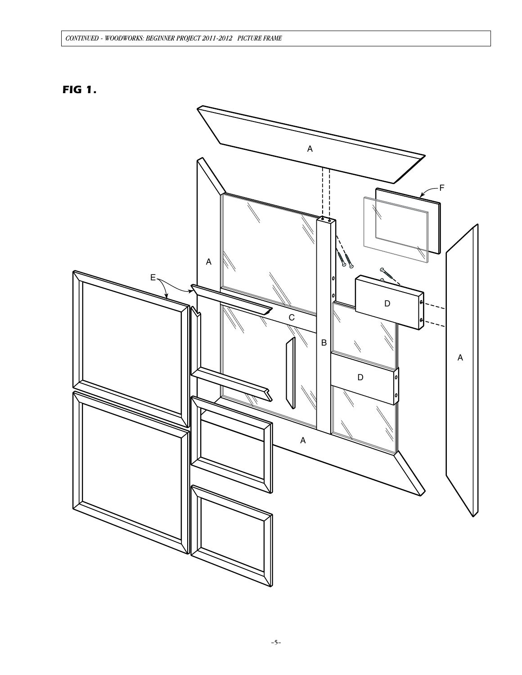## CONTINUED - WOODWORKS: BEGINNER PROJECT 2011-2012 PICTURE FRAME



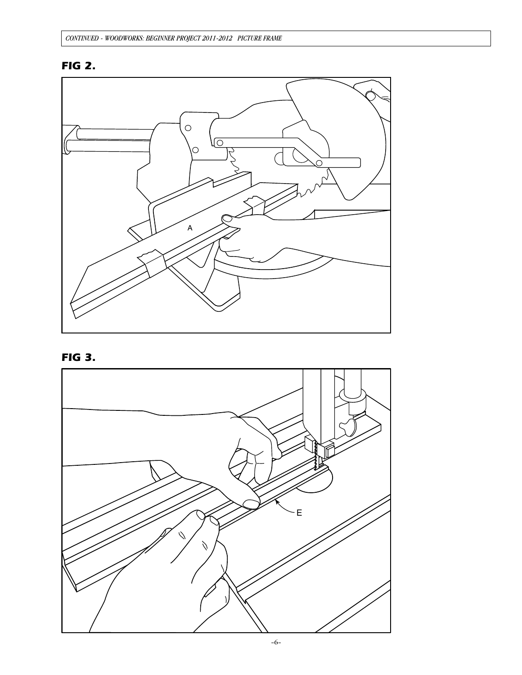# **FIG 2.**



**FIG 3.** 

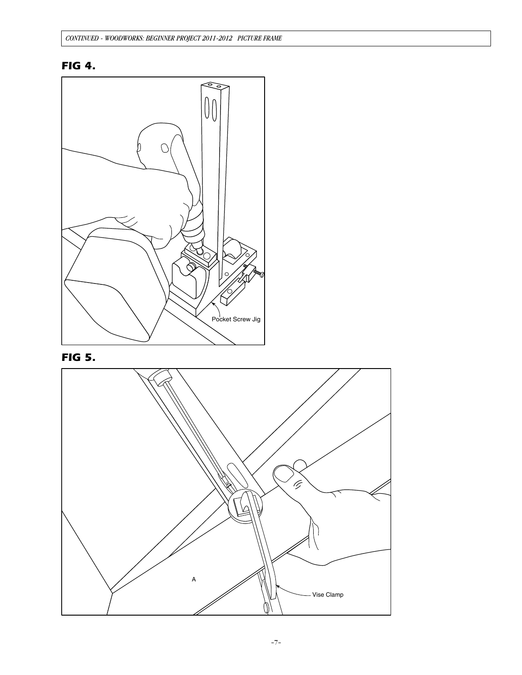# **FIG 4.**